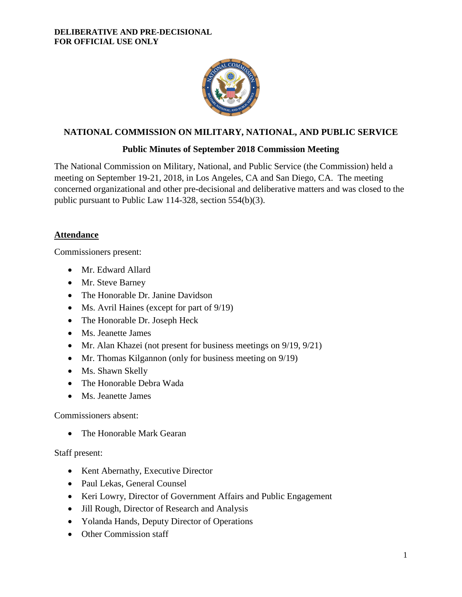

# **NATIONAL COMMISSION ON MILITARY, NATIONAL, AND PUBLIC SERVICE**

# **Public Minutes of September 2018 Commission Meeting**

The National Commission on Military, National, and Public Service (the Commission) held a meeting on September 19-21, 2018, in Los Angeles, CA and San Diego, CA. The meeting concerned organizational and other pre-decisional and deliberative matters and was closed to the public pursuant to Public Law 114-328, section 554(b)(3).

## **Attendance**

Commissioners present:

- Mr. Edward Allard
- Mr. Steve Barney
- The Honorable Dr. Janine Davidson
- Ms. Avril Haines (except for part of  $9/19$ )
- The Honorable Dr. Joseph Heck
- Ms. Jeanette James
- Mr. Alan Khazei (not present for business meetings on 9/19, 9/21)
- Mr. Thomas Kilgannon (only for business meeting on 9/19)
- Ms. Shawn Skelly
- The Honorable Debra Wada
- Ms. Jeanette James

Commissioners absent:

• The Honorable Mark Gearan

# Staff present:

- Kent Abernathy, Executive Director
- Paul Lekas, General Counsel
- Keri Lowry, Director of Government Affairs and Public Engagement
- Jill Rough, Director of Research and Analysis
- Yolanda Hands, Deputy Director of Operations
- Other Commission staff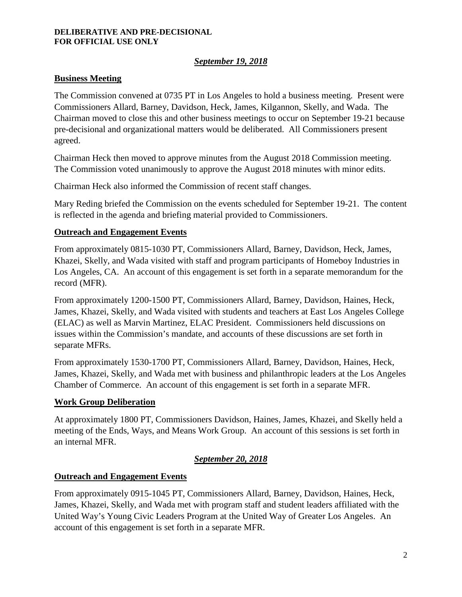#### **DELIBERATIVE AND PRE-DECISIONAL FOR OFFICIAL USE ONLY**

# *September 19, 2018*

# **Business Meeting**

The Commission convened at 0735 PT in Los Angeles to hold a business meeting. Present were Commissioners Allard, Barney, Davidson, Heck, James, Kilgannon, Skelly, and Wada. The Chairman moved to close this and other business meetings to occur on September 19-21 because pre-decisional and organizational matters would be deliberated. All Commissioners present agreed.

Chairman Heck then moved to approve minutes from the August 2018 Commission meeting. The Commission voted unanimously to approve the August 2018 minutes with minor edits.

Chairman Heck also informed the Commission of recent staff changes.

Mary Reding briefed the Commission on the events scheduled for September 19-21. The content is reflected in the agenda and briefing material provided to Commissioners.

### **Outreach and Engagement Events**

From approximately 0815-1030 PT, Commissioners Allard, Barney, Davidson, Heck, James, Khazei, Skelly, and Wada visited with staff and program participants of Homeboy Industries in Los Angeles, CA. An account of this engagement is set forth in a separate memorandum for the record (MFR).

From approximately 1200-1500 PT, Commissioners Allard, Barney, Davidson, Haines, Heck, James, Khazei, Skelly, and Wada visited with students and teachers at East Los Angeles College (ELAC) as well as Marvin Martinez, ELAC President. Commissioners held discussions on issues within the Commission's mandate, and accounts of these discussions are set forth in separate MFRs.

From approximately 1530-1700 PT, Commissioners Allard, Barney, Davidson, Haines, Heck, James, Khazei, Skelly, and Wada met with business and philanthropic leaders at the Los Angeles Chamber of Commerce. An account of this engagement is set forth in a separate MFR.

### **Work Group Deliberation**

At approximately 1800 PT, Commissioners Davidson, Haines, James, Khazei, and Skelly held a meeting of the Ends, Ways, and Means Work Group. An account of this sessions is set forth in an internal MFR.

### *September 20, 2018*

### **Outreach and Engagement Events**

From approximately 0915-1045 PT, Commissioners Allard, Barney, Davidson, Haines, Heck, James, Khazei, Skelly, and Wada met with program staff and student leaders affiliated with the United Way's Young Civic Leaders Program at the United Way of Greater Los Angeles. An account of this engagement is set forth in a separate MFR.